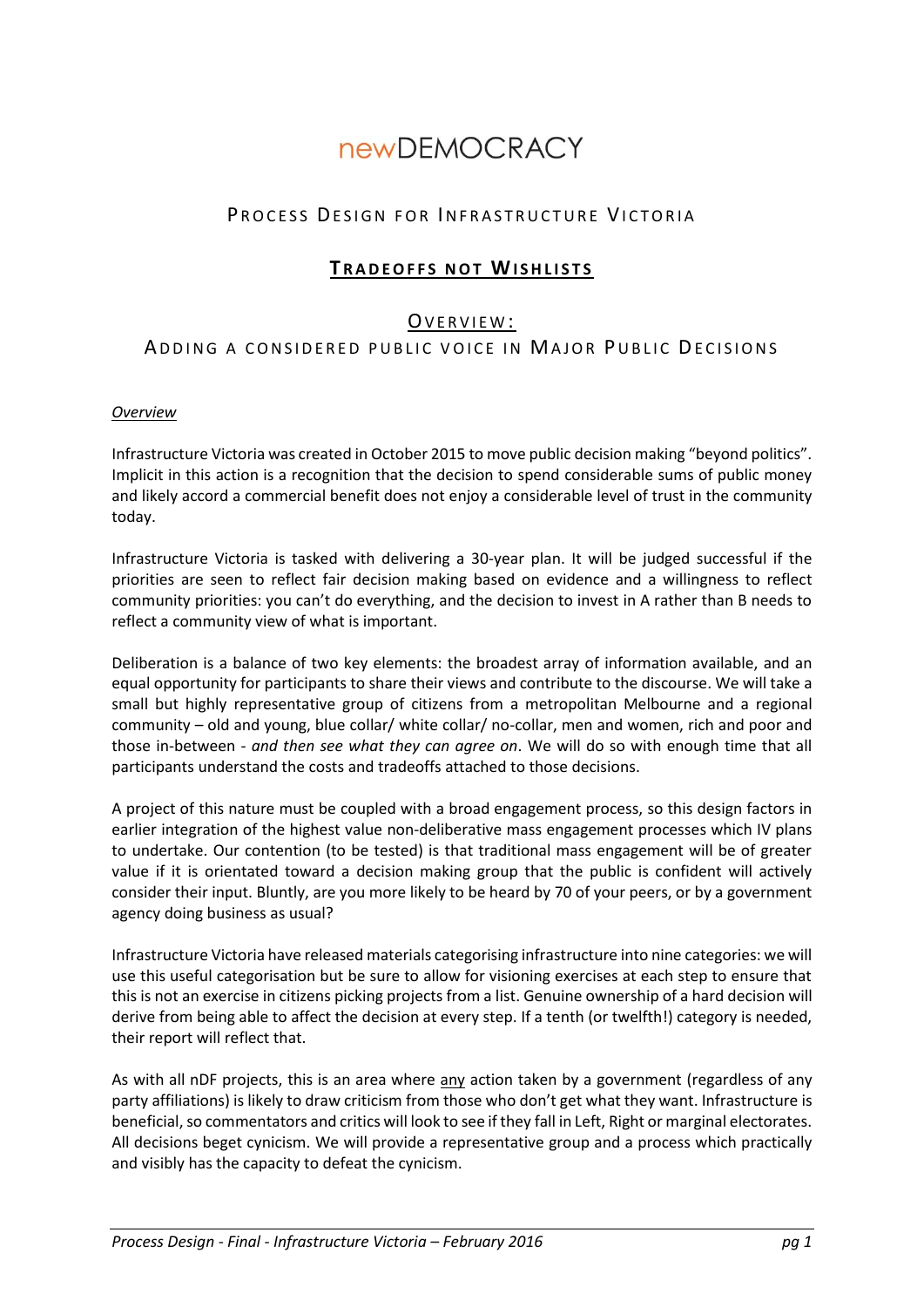# **newDEMOCRACY**

# PROCESS DESIGN FOR INFRASTRUCTURE VICTORIA

# **TRADEOFFS NOT WISHLISTS**

## OVERVIEW:

# ADDING A CONSIDERED PUBLIC VOICE IN MAJOR PUBLIC DECISIONS

#### *Overview*

Infrastructure Victoria was created in October 2015 to move public decision making "beyond politics". Implicit in this action is a recognition that the decision to spend considerable sums of public money and likely accord a commercial benefit does not enjoy a considerable level of trust in the community today.

Infrastructure Victoria is tasked with delivering a 30-year plan. It will be judged successful if the priorities are seen to reflect fair decision making based on evidence and a willingness to reflect community priorities: you can't do everything, and the decision to invest in A rather than B needs to reflect a community view of what is important.

Deliberation is a balance of two key elements: the broadest array of information available, and an equal opportunity for participants to share their views and contribute to the discourse. We will take a small but highly representative group of citizens from a metropolitan Melbourne and a regional community – old and young, blue collar/ white collar/ no-collar, men and women, rich and poor and those in-between - *and then see what they can agree on*. We will do so with enough time that all participants understand the costs and tradeoffs attached to those decisions.

A project of this nature must be coupled with a broad engagement process, so this design factors in earlier integration of the highest value non-deliberative mass engagement processes which IV plans to undertake. Our contention (to be tested) is that traditional mass engagement will be of greater value if it is orientated toward a decision making group that the public is confident will actively consider their input. Bluntly, are you more likely to be heard by 70 of your peers, or by a government agency doing business as usual?

Infrastructure Victoria have released materials categorising infrastructure into nine categories: we will use this useful categorisation but be sure to allow for visioning exercises at each step to ensure that this is not an exercise in citizens picking projects from a list. Genuine ownership of a hard decision will derive from being able to affect the decision at every step. If a tenth (or twelfth!) category is needed, their report will reflect that.

As with all nDF projects, this is an area where any action taken by a government (regardless of any party affiliations) is likely to draw criticism from those who don't get what they want. Infrastructure is beneficial, so commentators and critics will look to see if they fall in Left, Right or marginal electorates. All decisions beget cynicism. We will provide a representative group and a process which practically and visibly has the capacity to defeat the cynicism.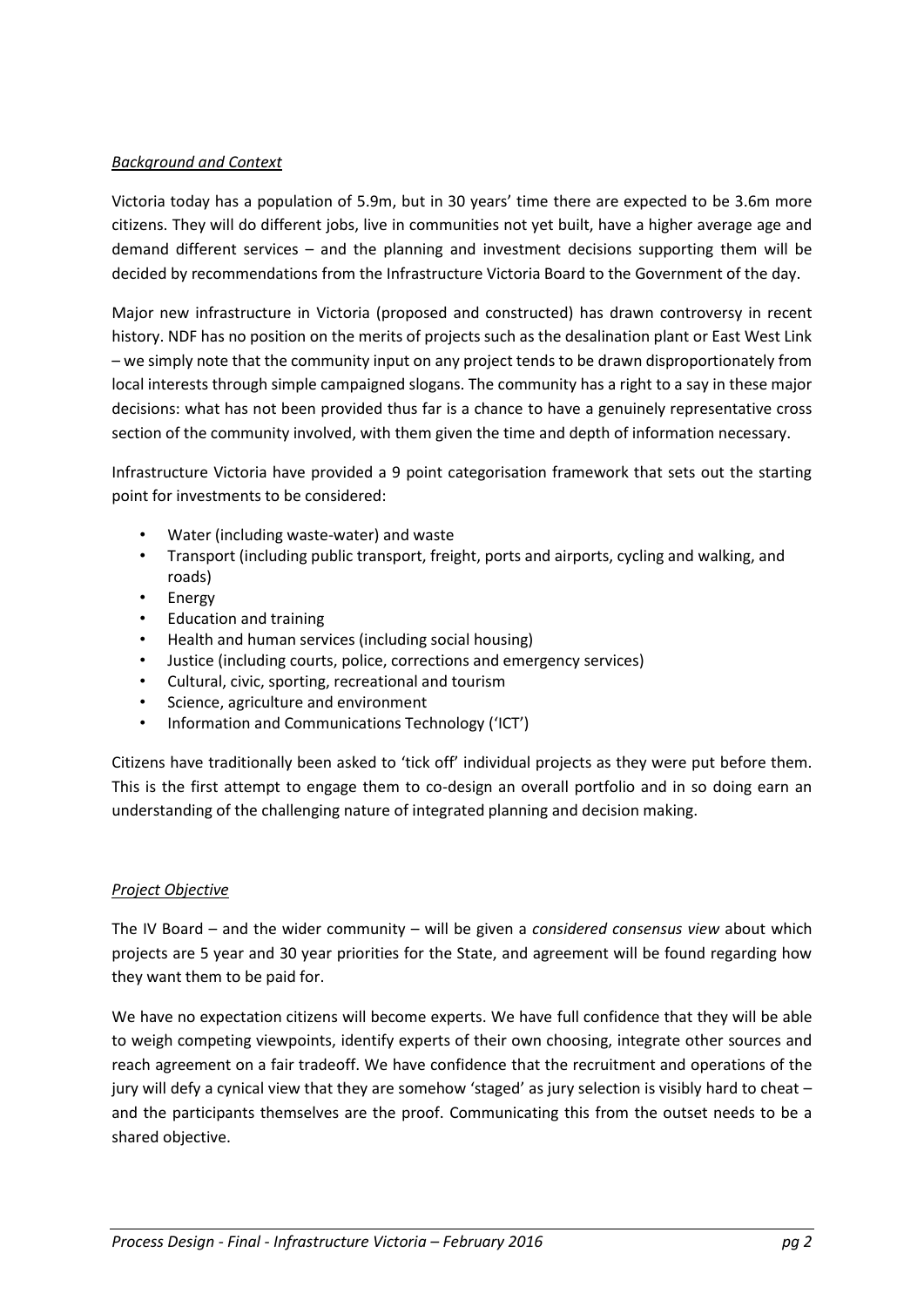### *Background and Context*

Victoria today has a population of 5.9m, but in 30 years' time there are expected to be 3.6m more citizens. They will do different jobs, live in communities not yet built, have a higher average age and demand different services – and the planning and investment decisions supporting them will be decided by recommendations from the Infrastructure Victoria Board to the Government of the day.

Major new infrastructure in Victoria (proposed and constructed) has drawn controversy in recent history. NDF has no position on the merits of projects such as the desalination plant or East West Link – we simply note that the community input on any project tends to be drawn disproportionately from local interests through simple campaigned slogans. The community has a right to a say in these major decisions: what has not been provided thus far is a chance to have a genuinely representative cross section of the community involved, with them given the time and depth of information necessary.

Infrastructure Victoria have provided a 9 point categorisation framework that sets out the starting point for investments to be considered:

- Water (including waste-water) and waste
- Transport (including public transport, freight, ports and airports, cycling and walking, and roads)
- Energy
- Education and training
- Health and human services (including social housing)
- Justice (including courts, police, corrections and emergency services)
- Cultural, civic, sporting, recreational and tourism
- Science, agriculture and environment
- Information and Communications Technology ('ICT')

Citizens have traditionally been asked to 'tick off' individual projects as they were put before them. This is the first attempt to engage them to co-design an overall portfolio and in so doing earn an understanding of the challenging nature of integrated planning and decision making.

#### *Project Objective*

The IV Board – and the wider community – will be given a *considered consensus view* about which projects are 5 year and 30 year priorities for the State, and agreement will be found regarding how they want them to be paid for.

We have no expectation citizens will become experts. We have full confidence that they will be able to weigh competing viewpoints, identify experts of their own choosing, integrate other sources and reach agreement on a fair tradeoff. We have confidence that the recruitment and operations of the jury will defy a cynical view that they are somehow 'staged' as jury selection is visibly hard to cheat – and the participants themselves are the proof. Communicating this from the outset needs to be a shared objective.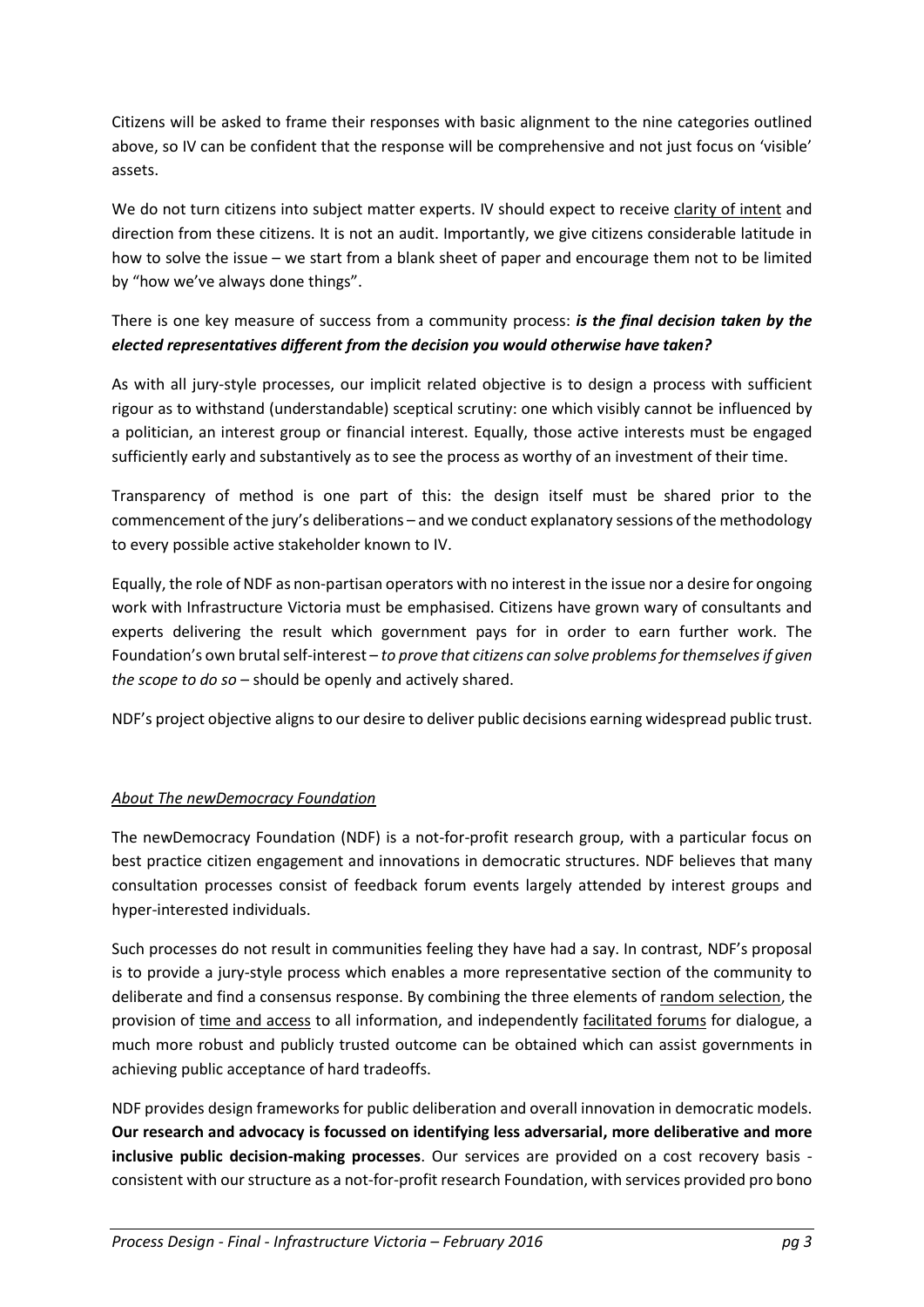Citizens will be asked to frame their responses with basic alignment to the nine categories outlined above, so IV can be confident that the response will be comprehensive and not just focus on 'visible' assets.

We do not turn citizens into subject matter experts. IV should expect to receive clarity of intent and direction from these citizens. It is not an audit. Importantly, we give citizens considerable latitude in how to solve the issue – we start from a blank sheet of paper and encourage them not to be limited by "how we've always done things".

## There is one key measure of success from a community process: *is the final decision taken by the elected representatives different from the decision you would otherwise have taken?*

As with all jury-style processes, our implicit related objective is to design a process with sufficient rigour as to withstand (understandable) sceptical scrutiny: one which visibly cannot be influenced by a politician, an interest group or financial interest. Equally, those active interests must be engaged sufficiently early and substantively as to see the process as worthy of an investment of their time.

Transparency of method is one part of this: the design itself must be shared prior to the commencement of the jury's deliberations – and we conduct explanatory sessions of the methodology to every possible active stakeholder known to IV.

Equally, the role of NDF as non-partisan operators with no interest in the issue nor a desire for ongoing work with Infrastructure Victoria must be emphasised. Citizens have grown wary of consultants and experts delivering the result which government pays for in order to earn further work. The Foundation's own brutal self-interest – *to prove that citizens can solve problems for themselves if given the scope to do so* – should be openly and actively shared.

NDF's project objective aligns to our desire to deliver public decisions earning widespread public trust.

## *About The newDemocracy Foundation*

The newDemocracy Foundation (NDF) is a not-for-profit research group, with a particular focus on best practice citizen engagement and innovations in democratic structures. NDF believes that many consultation processes consist of feedback forum events largely attended by interest groups and hyper-interested individuals.

Such processes do not result in communities feeling they have had a say. In contrast, NDF's proposal is to provide a jury-style process which enables a more representative section of the community to deliberate and find a consensus response. By combining the three elements of random selection, the provision of time and access to all information, and independently facilitated forums for dialogue, a much more robust and publicly trusted outcome can be obtained which can assist governments in achieving public acceptance of hard tradeoffs.

NDF provides design frameworks for public deliberation and overall innovation in democratic models. **Our research and advocacy is focussed on identifying less adversarial, more deliberative and more inclusive public decision-making processes**. Our services are provided on a cost recovery basis consistent with our structure as a not-for-profit research Foundation, with services provided pro bono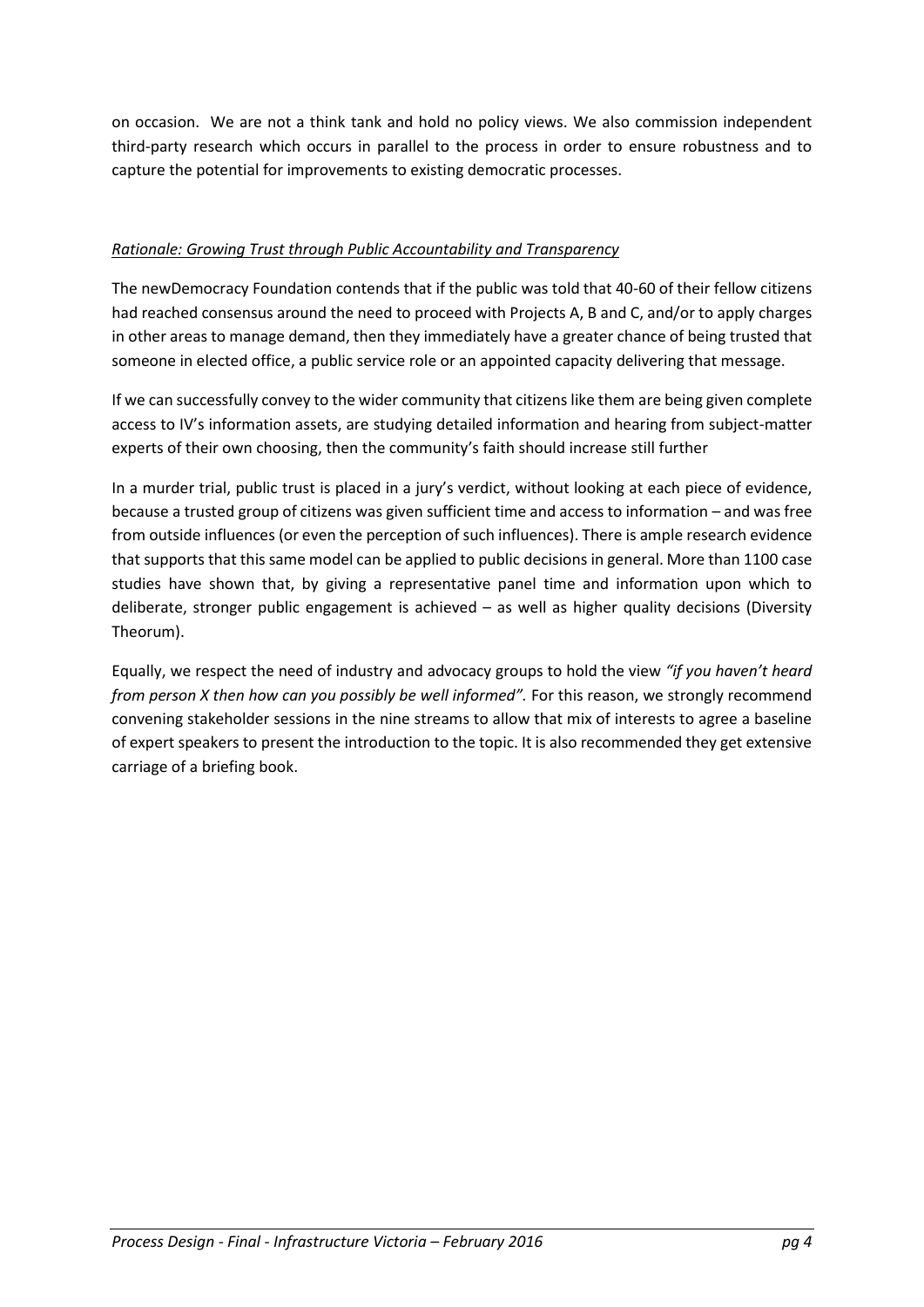on occasion. We are not a think tank and hold no policy views. We also commission independent third-party research which occurs in parallel to the process in order to ensure robustness and to capture the potential for improvements to existing democratic processes.

## *Rationale: Growing Trust through Public Accountability and Transparency*

The newDemocracy Foundation contends that if the public was told that 40-60 of their fellow citizens had reached consensus around the need to proceed with Projects A, B and C, and/or to apply charges in other areas to manage demand, then they immediately have a greater chance of being trusted that someone in elected office, a public service role or an appointed capacity delivering that message.

If we can successfully convey to the wider community that citizens like them are being given complete access to IV's information assets, are studying detailed information and hearing from subject-matter experts of their own choosing, then the community's faith should increase still further

In a murder trial, public trust is placed in a jury's verdict, without looking at each piece of evidence, because a trusted group of citizens was given sufficient time and access to information – and was free from outside influences (or even the perception of such influences). There is ample research evidence that supports that this same model can be applied to public decisions in general. More than 1100 case studies have shown that, by giving a representative panel time and information upon which to deliberate, stronger public engagement is achieved – as well as higher quality decisions (Diversity Theorum).

Equally, we respect the need of industry and advocacy groups to hold the view *"if you haven't heard from person X then how can you possibly be well informed".* For this reason, we strongly recommend convening stakeholder sessions in the nine streams to allow that mix of interests to agree a baseline of expert speakers to present the introduction to the topic. It is also recommended they get extensive carriage of a briefing book.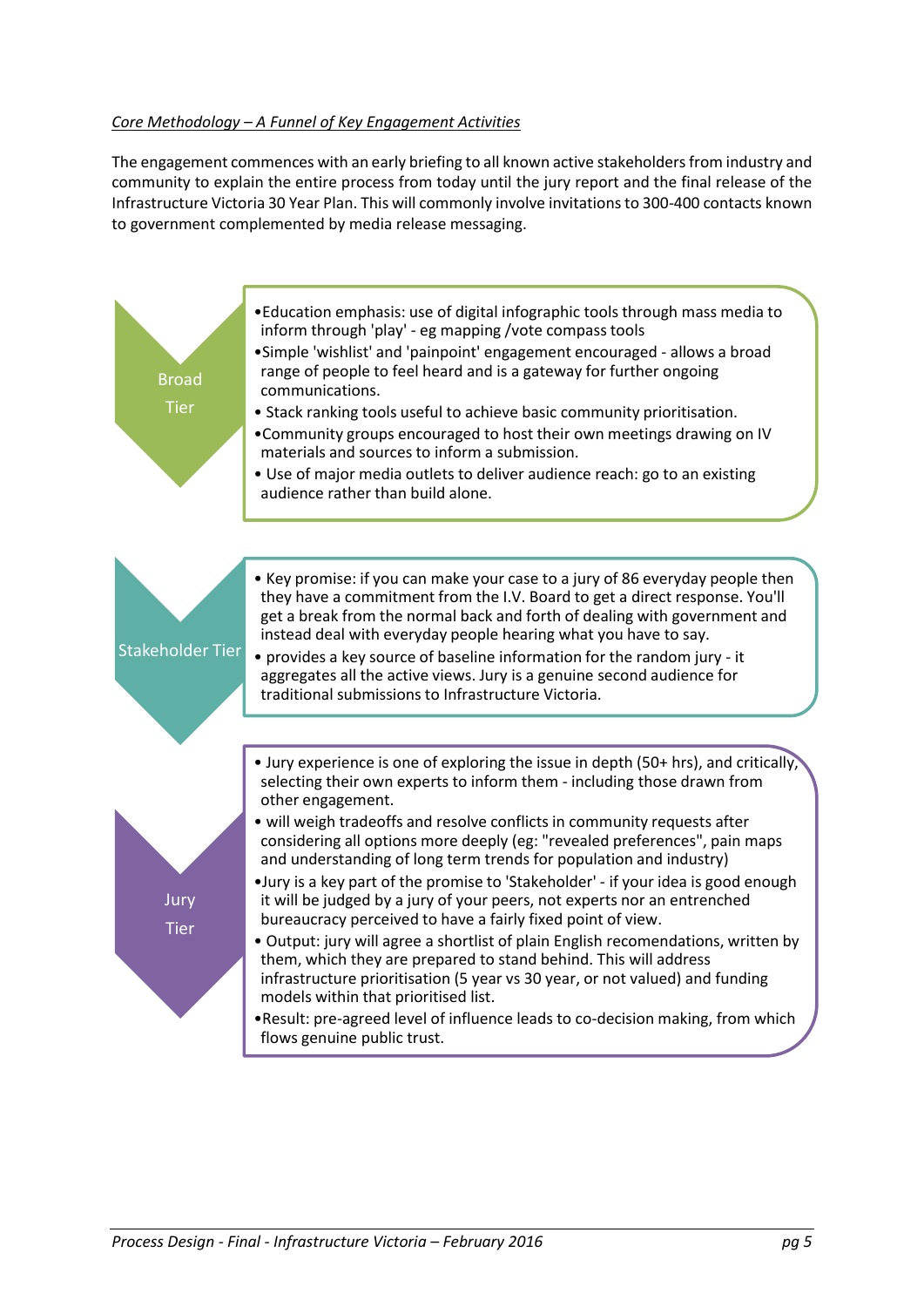### *Core Methodology – A Funnel of Key Engagement Activities*

The engagement commences with an early briefing to all known active stakeholders from industry and community to explain the entire process from today until the jury report and the final release of the Infrastructure Victoria 30 Year Plan. This will commonly involve invitations to 300-400 contacts known to government complemented by media release messaging.

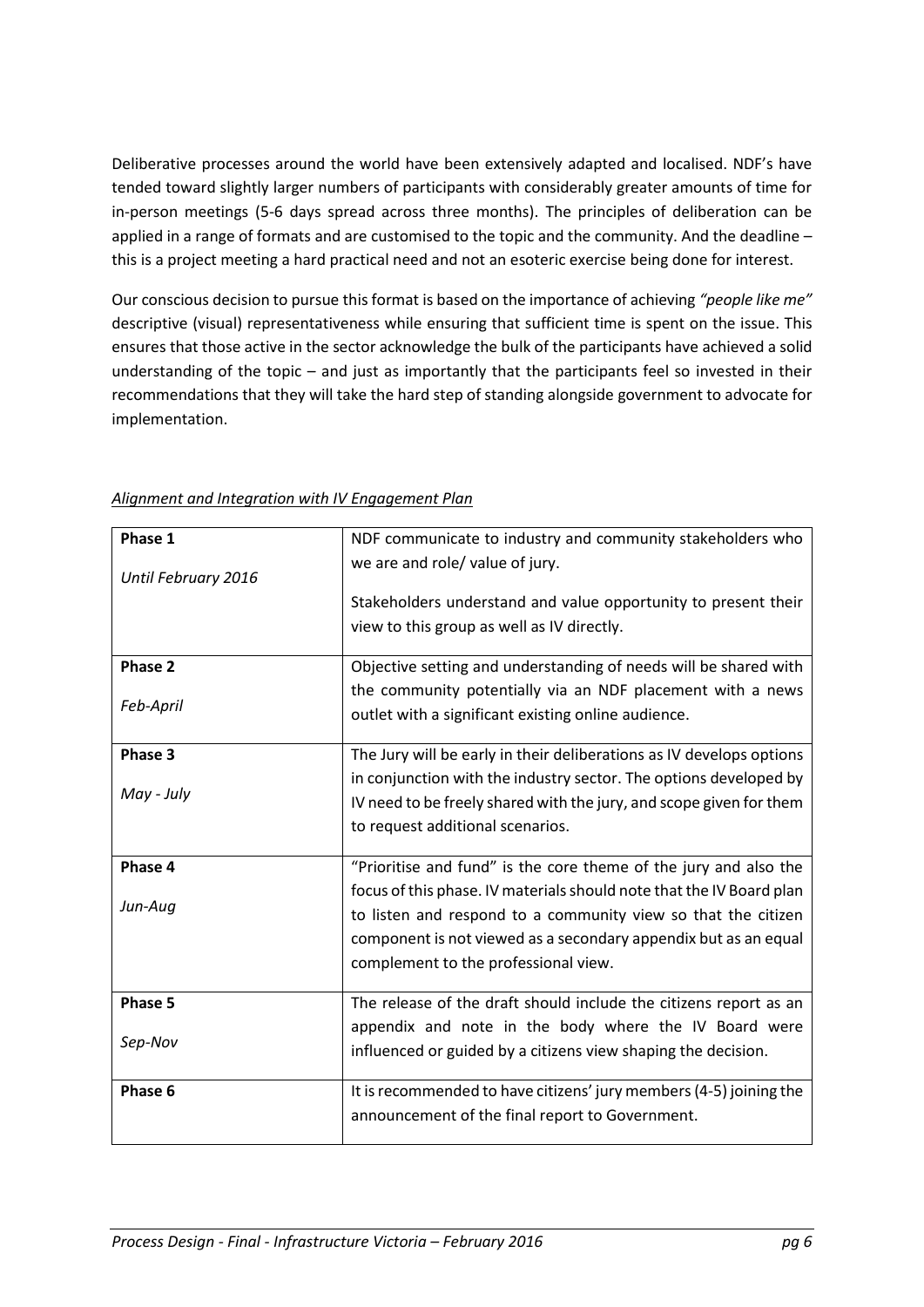Deliberative processes around the world have been extensively adapted and localised. NDF's have tended toward slightly larger numbers of participants with considerably greater amounts of time for in-person meetings (5-6 days spread across three months). The principles of deliberation can be applied in a range of formats and are customised to the topic and the community. And the deadline – this is a project meeting a hard practical need and not an esoteric exercise being done for interest.

Our conscious decision to pursue this format is based on the importance of achieving *"people like me"* descriptive (visual) representativeness while ensuring that sufficient time is spent on the issue. This ensures that those active in the sector acknowledge the bulk of the participants have achieved a solid understanding of the topic – and just as importantly that the participants feel so invested in their recommendations that they will take the hard step of standing alongside government to advocate for implementation.

| Phase 1             | NDF communicate to industry and community stakeholders who           |
|---------------------|----------------------------------------------------------------------|
| Until February 2016 | we are and role/ value of jury.                                      |
|                     | Stakeholders understand and value opportunity to present their       |
|                     | view to this group as well as IV directly.                           |
| Phase 2             |                                                                      |
|                     | Objective setting and understanding of needs will be shared with     |
| Feb-April           | the community potentially via an NDF placement with a news           |
|                     | outlet with a significant existing online audience.                  |
| Phase 3             | The Jury will be early in their deliberations as IV develops options |
|                     | in conjunction with the industry sector. The options developed by    |
| May - July          | IV need to be freely shared with the jury, and scope given for them  |
|                     | to request additional scenarios.                                     |
| Phase 4             | "Prioritise and fund" is the core theme of the jury and also the     |
|                     | focus of this phase. IV materials should note that the IV Board plan |
| Jun-Aug             | to listen and respond to a community view so that the citizen        |
|                     | component is not viewed as a secondary appendix but as an equal      |
|                     | complement to the professional view.                                 |
|                     |                                                                      |
| Phase 5             | The release of the draft should include the citizens report as an    |
| Sep-Nov             | appendix and note in the body where the IV Board were                |
|                     | influenced or guided by a citizens view shaping the decision.        |
| Phase 6             | It is recommended to have citizens' jury members (4-5) joining the   |
|                     | announcement of the final report to Government.                      |
|                     |                                                                      |

*Alignment and Integration with IV Engagement Plan*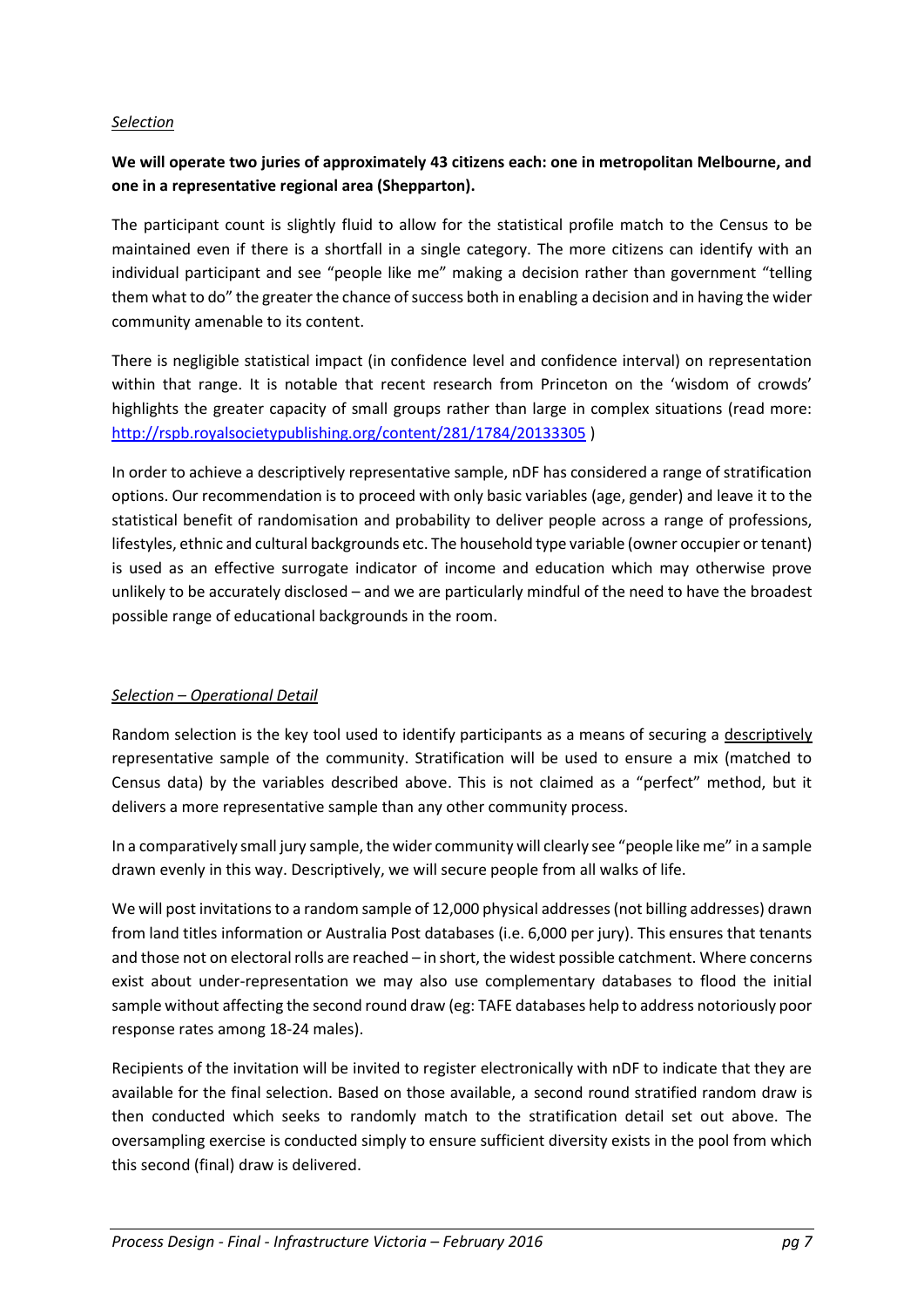#### *Selection*

## **We will operate two juries of approximately 43 citizens each: one in metropolitan Melbourne, and one in a representative regional area (Shepparton).**

The participant count is slightly fluid to allow for the statistical profile match to the Census to be maintained even if there is a shortfall in a single category. The more citizens can identify with an individual participant and see "people like me" making a decision rather than government "telling them what to do" the greater the chance of success both in enabling a decision and in having the wider community amenable to its content.

There is negligible statistical impact (in confidence level and confidence interval) on representation within that range. It is notable that recent research from Princeton on the 'wisdom of crowds' highlights the greater capacity of small groups rather than large in complex situations (read more: <http://rspb.royalsocietypublishing.org/content/281/1784/20133305> )

In order to achieve a descriptively representative sample, nDF has considered a range of stratification options. Our recommendation is to proceed with only basic variables (age, gender) and leave it to the statistical benefit of randomisation and probability to deliver people across a range of professions, lifestyles, ethnic and cultural backgrounds etc. The household type variable (owner occupier or tenant) is used as an effective surrogate indicator of income and education which may otherwise prove unlikely to be accurately disclosed – and we are particularly mindful of the need to have the broadest possible range of educational backgrounds in the room.

#### *Selection – Operational Detail*

Random selection is the key tool used to identify participants as a means of securing a descriptively representative sample of the community. Stratification will be used to ensure a mix (matched to Census data) by the variables described above. This is not claimed as a "perfect" method, but it delivers a more representative sample than any other community process.

In a comparatively small jury sample, the wider community will clearly see "people like me" in a sample drawn evenly in this way. Descriptively, we will secure people from all walks of life.

We will post invitations to a random sample of 12,000 physical addresses (not billing addresses) drawn from land titles information or Australia Post databases (i.e. 6,000 per jury). This ensures that tenants and those not on electoral rolls are reached – in short, the widest possible catchment. Where concerns exist about under-representation we may also use complementary databases to flood the initial sample without affecting the second round draw (eg: TAFE databases help to address notoriously poor response rates among 18-24 males).

Recipients of the invitation will be invited to register electronically with nDF to indicate that they are available for the final selection. Based on those available, a second round stratified random draw is then conducted which seeks to randomly match to the stratification detail set out above. The oversampling exercise is conducted simply to ensure sufficient diversity exists in the pool from which this second (final) draw is delivered.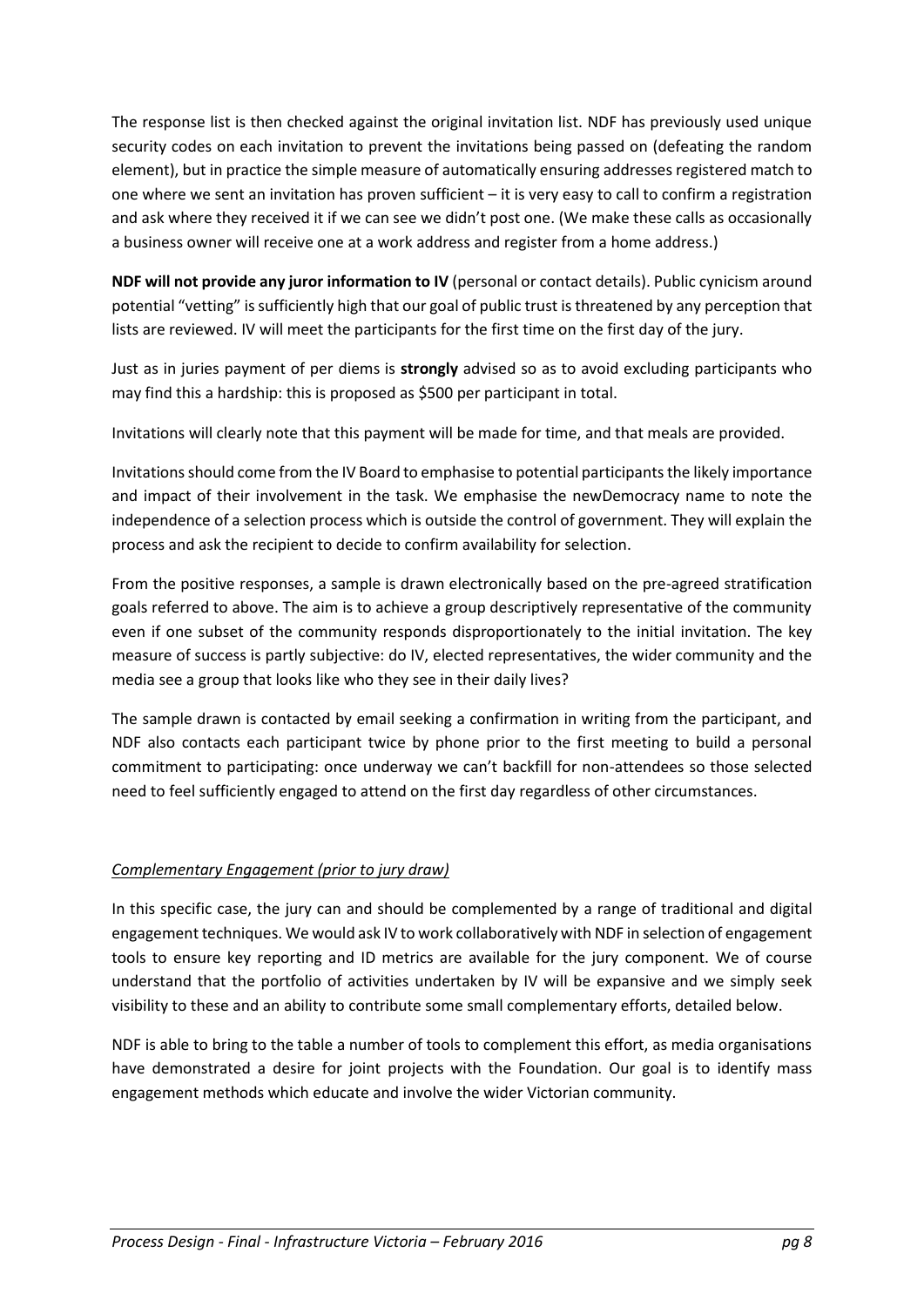The response list is then checked against the original invitation list. NDF has previously used unique security codes on each invitation to prevent the invitations being passed on (defeating the random element), but in practice the simple measure of automatically ensuring addresses registered match to one where we sent an invitation has proven sufficient – it is very easy to call to confirm a registration and ask where they received it if we can see we didn't post one. (We make these calls as occasionally a business owner will receive one at a work address and register from a home address.)

**NDF will not provide any juror information to IV** (personal or contact details). Public cynicism around potential "vetting" is sufficiently high that our goal of public trust is threatened by any perception that lists are reviewed. IV will meet the participants for the first time on the first day of the jury.

Just as in juries payment of per diems is **strongly** advised so as to avoid excluding participants who may find this a hardship: this is proposed as \$500 per participant in total.

Invitations will clearly note that this payment will be made for time, and that meals are provided.

Invitations should come from the IV Board to emphasise to potential participants the likely importance and impact of their involvement in the task. We emphasise the newDemocracy name to note the independence of a selection process which is outside the control of government. They will explain the process and ask the recipient to decide to confirm availability for selection.

From the positive responses, a sample is drawn electronically based on the pre-agreed stratification goals referred to above. The aim is to achieve a group descriptively representative of the community even if one subset of the community responds disproportionately to the initial invitation. The key measure of success is partly subjective: do IV, elected representatives, the wider community and the media see a group that looks like who they see in their daily lives?

The sample drawn is contacted by email seeking a confirmation in writing from the participant, and NDF also contacts each participant twice by phone prior to the first meeting to build a personal commitment to participating: once underway we can't backfill for non-attendees so those selected need to feel sufficiently engaged to attend on the first day regardless of other circumstances.

## *Complementary Engagement (prior to jury draw)*

In this specific case, the jury can and should be complemented by a range of traditional and digital engagement techniques. We would ask IV to work collaboratively with NDF in selection of engagement tools to ensure key reporting and ID metrics are available for the jury component. We of course understand that the portfolio of activities undertaken by IV will be expansive and we simply seek visibility to these and an ability to contribute some small complementary efforts, detailed below.

NDF is able to bring to the table a number of tools to complement this effort, as media organisations have demonstrated a desire for joint projects with the Foundation. Our goal is to identify mass engagement methods which educate and involve the wider Victorian community.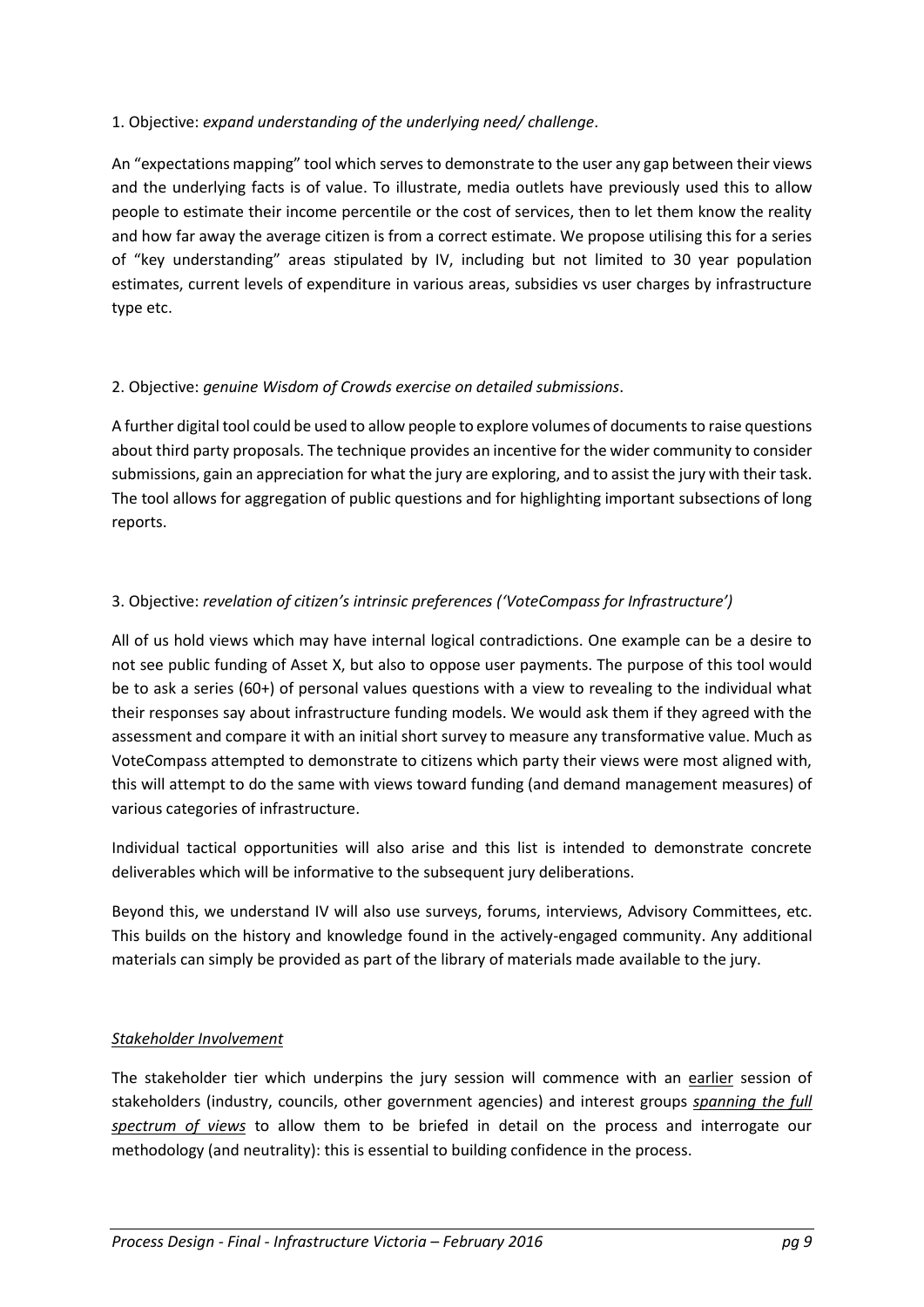## 1. Objective: *expand understanding of the underlying need/ challenge*.

An "expectations mapping" tool which serves to demonstrate to the user any gap between their views and the underlying facts is of value. To illustrate, media outlets have previously used this to allow people to estimate their income percentile or the cost of services, then to let them know the reality and how far away the average citizen is from a correct estimate. We propose utilising this for a series of "key understanding" areas stipulated by IV, including but not limited to 30 year population estimates, current levels of expenditure in various areas, subsidies vs user charges by infrastructure type etc.

## 2. Objective: *genuine Wisdom of Crowds exercise on detailed submissions*.

A further digital tool could be used to allow people to explore volumes of documents to raise questions about third party proposals. The technique provides an incentive for the wider community to consider submissions, gain an appreciation for what the jury are exploring, and to assist the jury with their task. The tool allows for aggregation of public questions and for highlighting important subsections of long reports.

## 3. Objective: *revelation of citizen's intrinsic preferences ('VoteCompass for Infrastructure')*

All of us hold views which may have internal logical contradictions. One example can be a desire to not see public funding of Asset X, but also to oppose user payments. The purpose of this tool would be to ask a series (60+) of personal values questions with a view to revealing to the individual what their responses say about infrastructure funding models. We would ask them if they agreed with the assessment and compare it with an initial short survey to measure any transformative value. Much as VoteCompass attempted to demonstrate to citizens which party their views were most aligned with, this will attempt to do the same with views toward funding (and demand management measures) of various categories of infrastructure.

Individual tactical opportunities will also arise and this list is intended to demonstrate concrete deliverables which will be informative to the subsequent jury deliberations.

Beyond this, we understand IV will also use surveys, forums, interviews, Advisory Committees, etc. This builds on the history and knowledge found in the actively-engaged community. Any additional materials can simply be provided as part of the library of materials made available to the jury.

#### *Stakeholder Involvement*

The stakeholder tier which underpins the jury session will commence with an earlier session of stakeholders (industry, councils, other government agencies) and interest groups *spanning the full spectrum of views* to allow them to be briefed in detail on the process and interrogate our methodology (and neutrality): this is essential to building confidence in the process.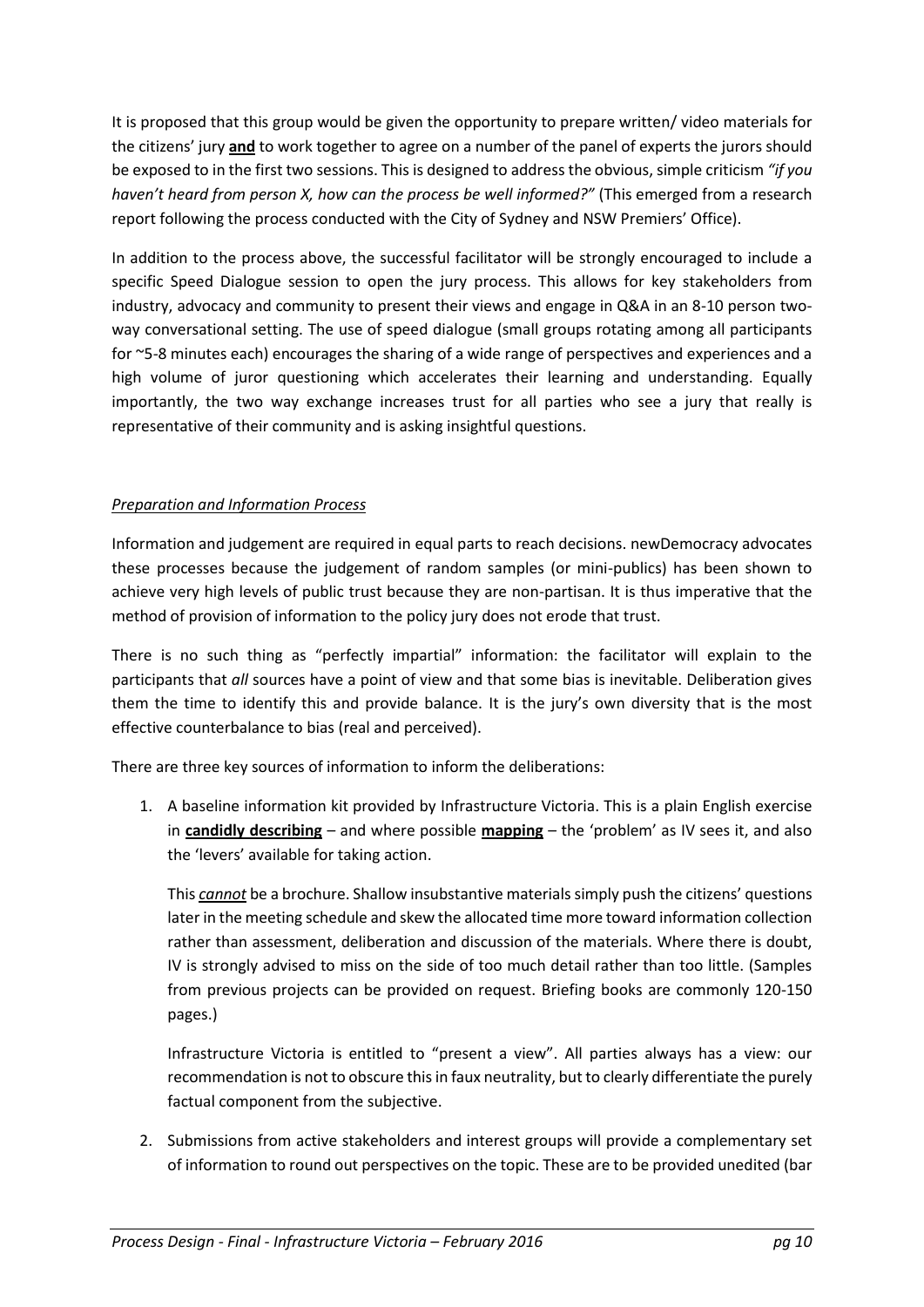It is proposed that this group would be given the opportunity to prepare written/ video materials for the citizens' jury **and** to work together to agree on a number of the panel of experts the jurors should be exposed to in the first two sessions. This is designed to address the obvious, simple criticism *"if you haven't heard from person X, how can the process be well informed?"* (This emerged from a research report following the process conducted with the City of Sydney and NSW Premiers' Office).

In addition to the process above, the successful facilitator will be strongly encouraged to include a specific Speed Dialogue session to open the jury process. This allows for key stakeholders from industry, advocacy and community to present their views and engage in Q&A in an 8-10 person twoway conversational setting. The use of speed dialogue (small groups rotating among all participants for ~5-8 minutes each) encourages the sharing of a wide range of perspectives and experiences and a high volume of juror questioning which accelerates their learning and understanding. Equally importantly, the two way exchange increases trust for all parties who see a jury that really is representative of their community and is asking insightful questions.

## *Preparation and Information Process*

Information and judgement are required in equal parts to reach decisions. newDemocracy advocates these processes because the judgement of random samples (or mini-publics) has been shown to achieve very high levels of public trust because they are non-partisan. It is thus imperative that the method of provision of information to the policy jury does not erode that trust.

There is no such thing as "perfectly impartial" information: the facilitator will explain to the participants that *all* sources have a point of view and that some bias is inevitable. Deliberation gives them the time to identify this and provide balance. It is the jury's own diversity that is the most effective counterbalance to bias (real and perceived).

There are three key sources of information to inform the deliberations:

1. A baseline information kit provided by Infrastructure Victoria. This is a plain English exercise in **candidly describing** – and where possible **mapping** – the 'problem' as IV sees it, and also the 'levers' available for taking action.

This *cannot* be a brochure. Shallow insubstantive materials simply push the citizens' questions later in the meeting schedule and skew the allocated time more toward information collection rather than assessment, deliberation and discussion of the materials. Where there is doubt, IV is strongly advised to miss on the side of too much detail rather than too little. (Samples from previous projects can be provided on request. Briefing books are commonly 120-150 pages.)

Infrastructure Victoria is entitled to "present a view". All parties always has a view: our recommendation is not to obscure this in faux neutrality, but to clearly differentiate the purely factual component from the subjective.

2. Submissions from active stakeholders and interest groups will provide a complementary set of information to round out perspectives on the topic. These are to be provided unedited (bar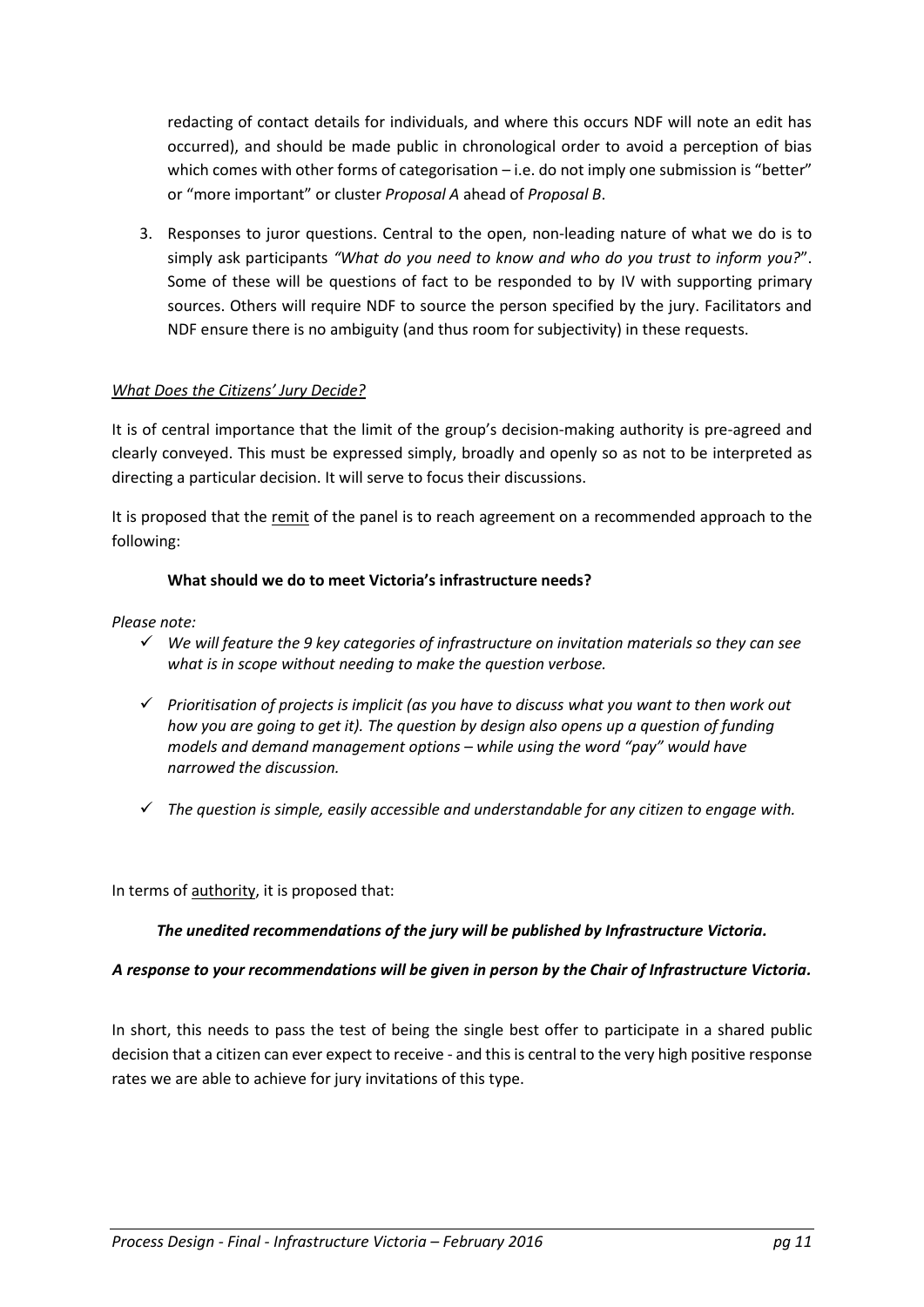redacting of contact details for individuals, and where this occurs NDF will note an edit has occurred), and should be made public in chronological order to avoid a perception of bias which comes with other forms of categorisation – i.e. do not imply one submission is "better" or "more important" or cluster *Proposal A* ahead of *Proposal B*.

3. Responses to juror questions. Central to the open, non-leading nature of what we do is to simply ask participants *"What do you need to know and who do you trust to inform you?*". Some of these will be questions of fact to be responded to by IV with supporting primary sources. Others will require NDF to source the person specified by the jury. Facilitators and NDF ensure there is no ambiguity (and thus room for subjectivity) in these requests.

## *What Does the Citizens' Jury Decide?*

It is of central importance that the limit of the group's decision-making authority is pre-agreed and clearly conveyed. This must be expressed simply, broadly and openly so as not to be interpreted as directing a particular decision. It will serve to focus their discussions.

It is proposed that the remit of the panel is to reach agreement on a recommended approach to the following:

#### **What should we do to meet Victoria's infrastructure needs?**

#### *Please note:*

- *We will feature the 9 key categories of infrastructure on invitation materials so they can see what is in scope without needing to make the question verbose.*
- *Prioritisation of projects is implicit (as you have to discuss what you want to then work out how you are going to get it). The question by design also opens up a question of funding models and demand management options – while using the word "pay" would have narrowed the discussion.*
- *The question is simple, easily accessible and understandable for any citizen to engage with.*

In terms of authority, it is proposed that:

#### *The unedited recommendations of the jury will be published by Infrastructure Victoria.*

#### *A response to your recommendations will be given in person by the Chair of Infrastructure Victoria.*

In short, this needs to pass the test of being the single best offer to participate in a shared public decision that a citizen can ever expect to receive - and this is central to the very high positive response rates we are able to achieve for jury invitations of this type.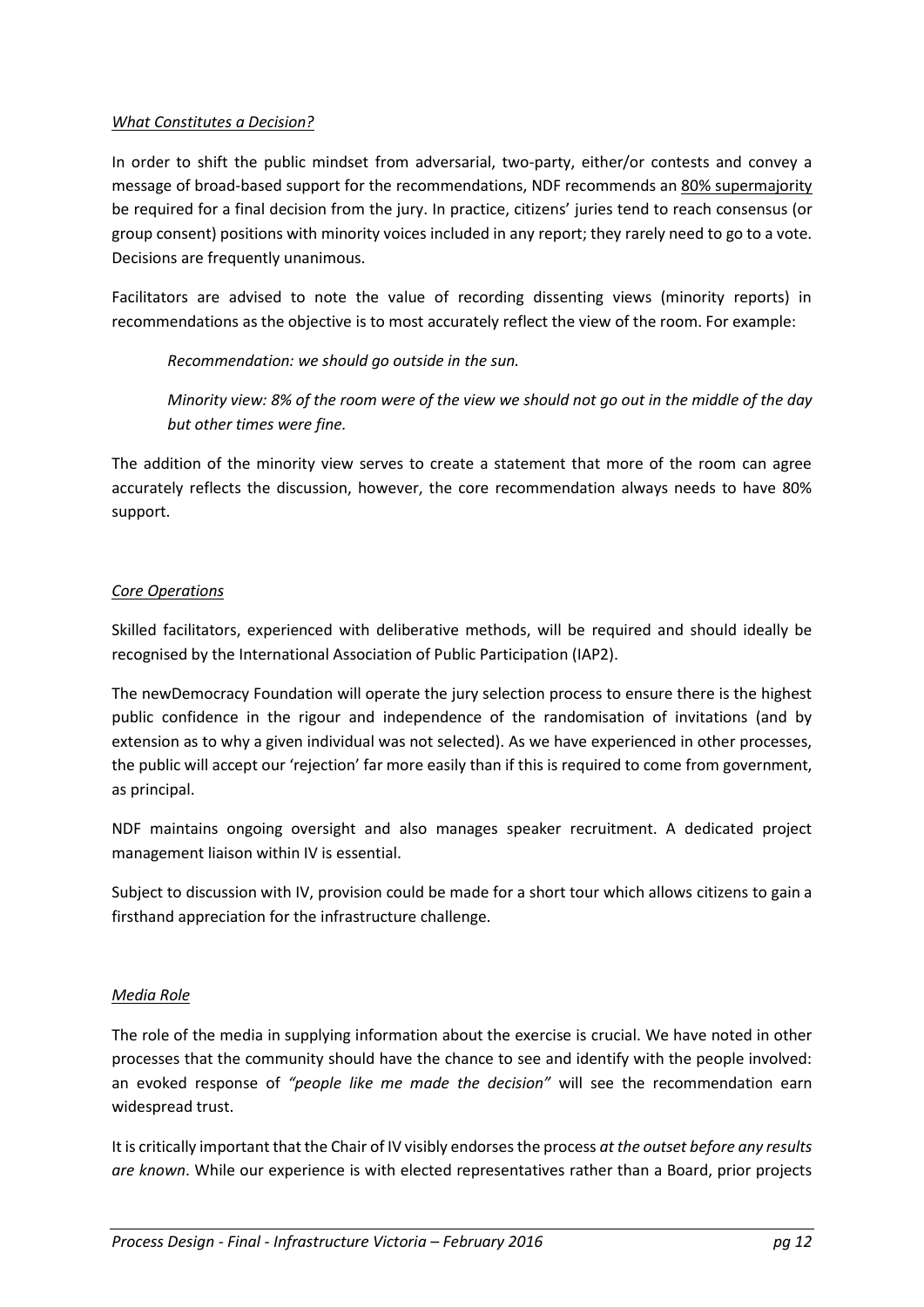### *What Constitutes a Decision?*

In order to shift the public mindset from adversarial, two-party, either/or contests and convey a message of broad-based support for the recommendations, NDF recommends an 80% supermajority be required for a final decision from the jury. In practice, citizens' juries tend to reach consensus (or group consent) positions with minority voices included in any report; they rarely need to go to a vote. Decisions are frequently unanimous.

Facilitators are advised to note the value of recording dissenting views (minority reports) in recommendations as the objective is to most accurately reflect the view of the room. For example:

*Recommendation: we should go outside in the sun.*

*Minority view: 8% of the room were of the view we should not go out in the middle of the day but other times were fine.*

The addition of the minority view serves to create a statement that more of the room can agree accurately reflects the discussion, however, the core recommendation always needs to have 80% support.

## *Core Operations*

Skilled facilitators, experienced with deliberative methods, will be required and should ideally be recognised by the International Association of Public Participation (IAP2).

The newDemocracy Foundation will operate the jury selection process to ensure there is the highest public confidence in the rigour and independence of the randomisation of invitations (and by extension as to why a given individual was not selected). As we have experienced in other processes, the public will accept our 'rejection' far more easily than if this is required to come from government, as principal.

NDF maintains ongoing oversight and also manages speaker recruitment. A dedicated project management liaison within IV is essential.

Subject to discussion with IV, provision could be made for a short tour which allows citizens to gain a firsthand appreciation for the infrastructure challenge.

## *Media Role*

The role of the media in supplying information about the exercise is crucial. We have noted in other processes that the community should have the chance to see and identify with the people involved: an evoked response of *"people like me made the decision"* will see the recommendation earn widespread trust.

It is critically important that the Chair of IV visibly endorsesthe process *at the outset before any results are known*. While our experience is with elected representatives rather than a Board, prior projects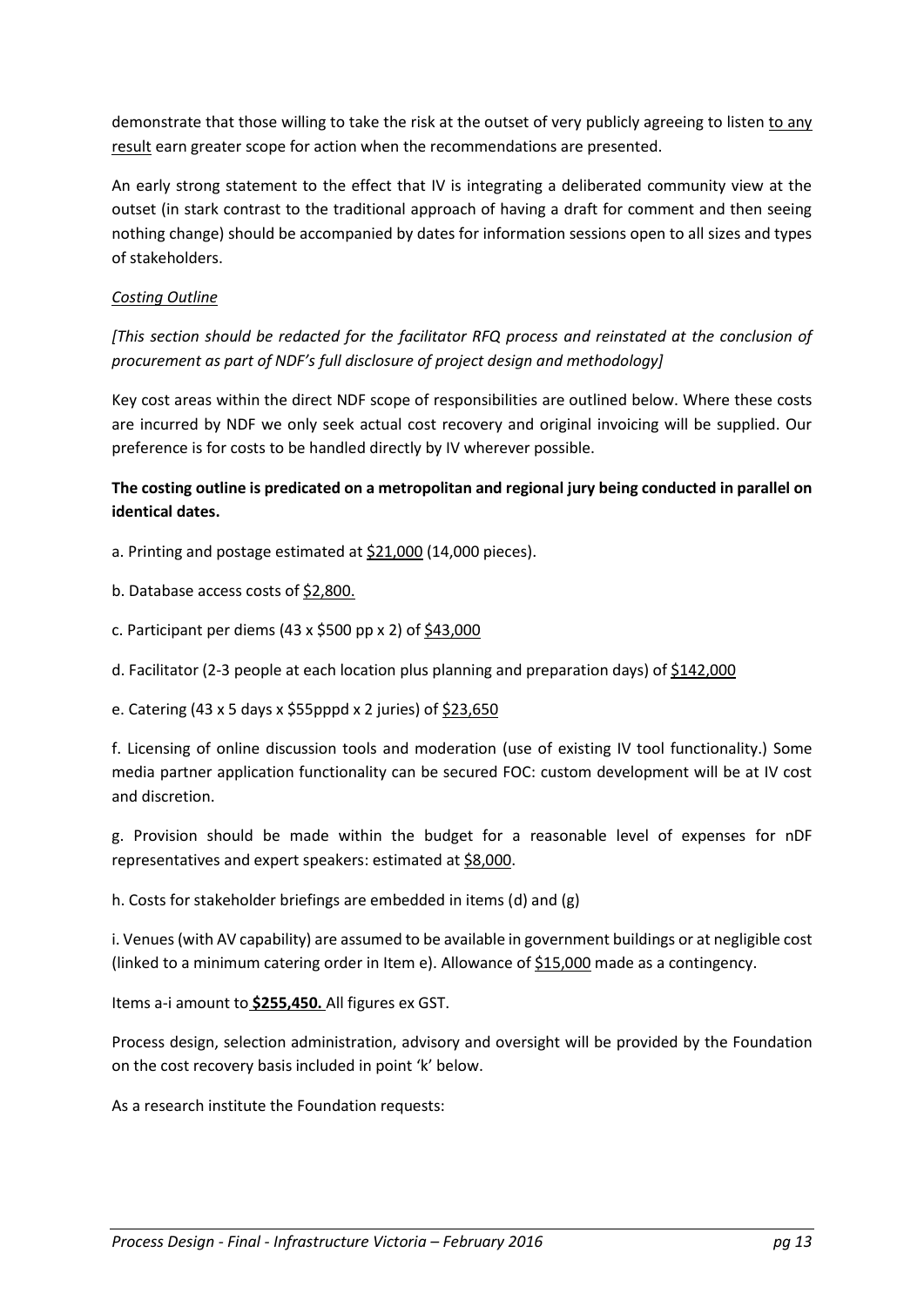demonstrate that those willing to take the risk at the outset of very publicly agreeing to listen to any result earn greater scope for action when the recommendations are presented.

An early strong statement to the effect that IV is integrating a deliberated community view at the outset (in stark contrast to the traditional approach of having a draft for comment and then seeing nothing change) should be accompanied by dates for information sessions open to all sizes and types of stakeholders.

## *Costing Outline*

*[This section should be redacted for the facilitator RFQ process and reinstated at the conclusion of procurement as part of NDF's full disclosure of project design and methodology]*

Key cost areas within the direct NDF scope of responsibilities are outlined below. Where these costs are incurred by NDF we only seek actual cost recovery and original invoicing will be supplied. Our preference is for costs to be handled directly by IV wherever possible.

## **The costing outline is predicated on a metropolitan and regional jury being conducted in parallel on identical dates.**

a. Printing and postage estimated at \$21,000 (14,000 pieces).

b. Database access costs of \$2,800.

- c. Participant per diems (43 x \$500 pp x 2) of \$43,000
- d. Facilitator (2-3 people at each location plus planning and preparation days) of \$142,000

#### e. Catering (43 x 5 days x \$55pppd x 2 juries) of \$23,650

f. Licensing of online discussion tools and moderation (use of existing IV tool functionality.) Some media partner application functionality can be secured FOC: custom development will be at IV cost and discretion.

g. Provision should be made within the budget for a reasonable level of expenses for nDF representatives and expert speakers: estimated at \$8,000.

h. Costs for stakeholder briefings are embedded in items (d) and (g)

i. Venues (with AV capability) are assumed to be available in government buildings or at negligible cost (linked to a minimum catering order in Item e). Allowance of \$15,000 made as a contingency.

Items a-i amount to **\$255,450.** All figures ex GST.

Process design, selection administration, advisory and oversight will be provided by the Foundation on the cost recovery basis included in point 'k' below.

As a research institute the Foundation requests: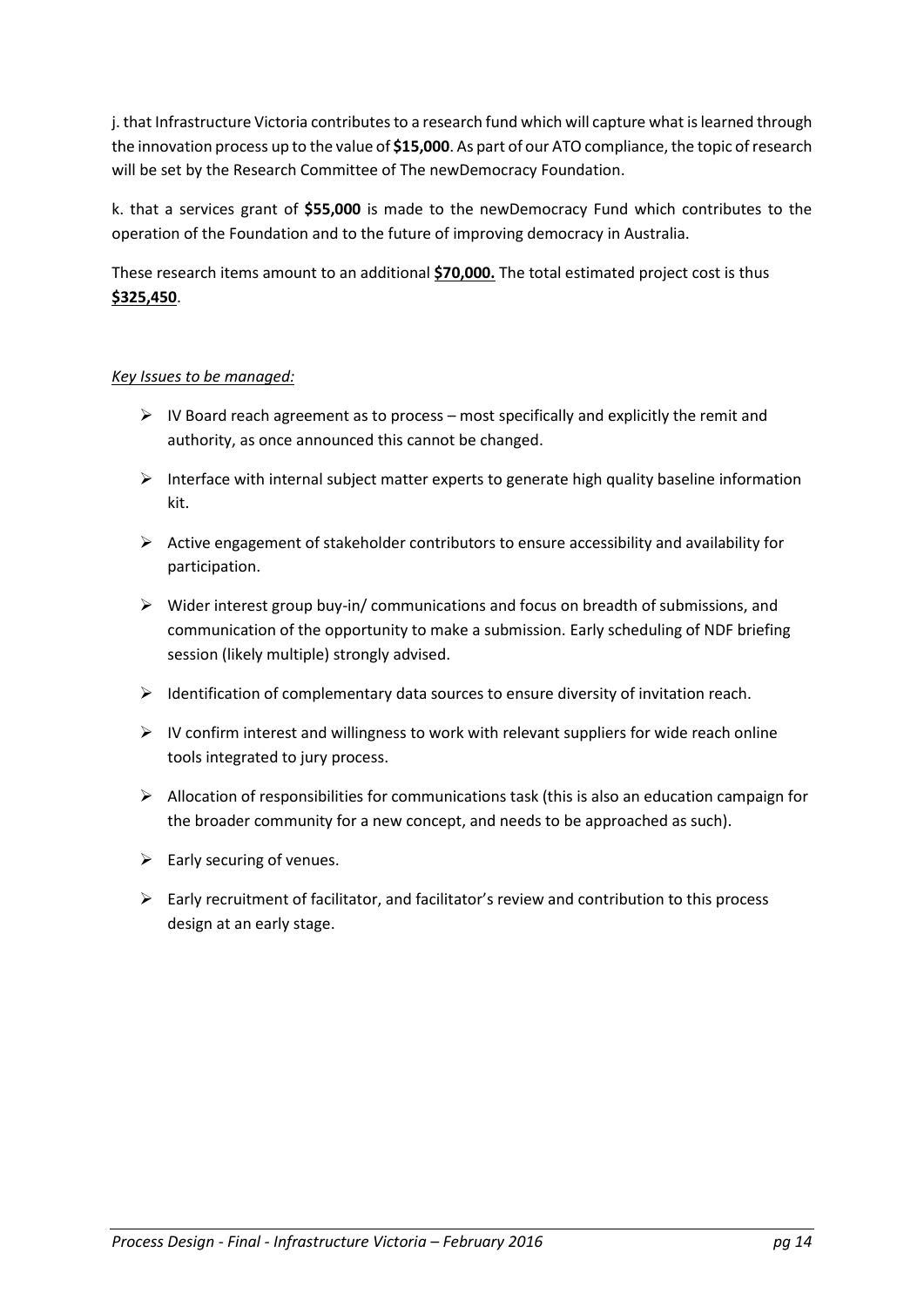j. that Infrastructure Victoria contributes to a research fund which will capture what is learned through the innovation process up to the value of **\$15,000**. As part of our ATO compliance, the topic of research will be set by the Research Committee of The newDemocracy Foundation.

k. that a services grant of **\$55,000** is made to the newDemocracy Fund which contributes to the operation of the Foundation and to the future of improving democracy in Australia.

These research items amount to an additional **\$70,000.** The total estimated project cost is thus **\$325,450**.

## *Key Issues to be managed:*

- $\triangleright$  IV Board reach agreement as to process most specifically and explicitly the remit and authority, as once announced this cannot be changed.
- $\triangleright$  Interface with internal subject matter experts to generate high quality baseline information kit.
- $\triangleright$  Active engagement of stakeholder contributors to ensure accessibility and availability for participation.
- $\triangleright$  Wider interest group buy-in/ communications and focus on breadth of submissions, and communication of the opportunity to make a submission. Early scheduling of NDF briefing session (likely multiple) strongly advised.
- $\triangleright$  Identification of complementary data sources to ensure diversity of invitation reach.
- $\triangleright$  IV confirm interest and willingness to work with relevant suppliers for wide reach online tools integrated to jury process.
- $\triangleright$  Allocation of responsibilities for communications task (this is also an education campaign for the broader community for a new concept, and needs to be approached as such).
- $\triangleright$  Early securing of venues.
- $\triangleright$  Early recruitment of facilitator, and facilitator's review and contribution to this process design at an early stage.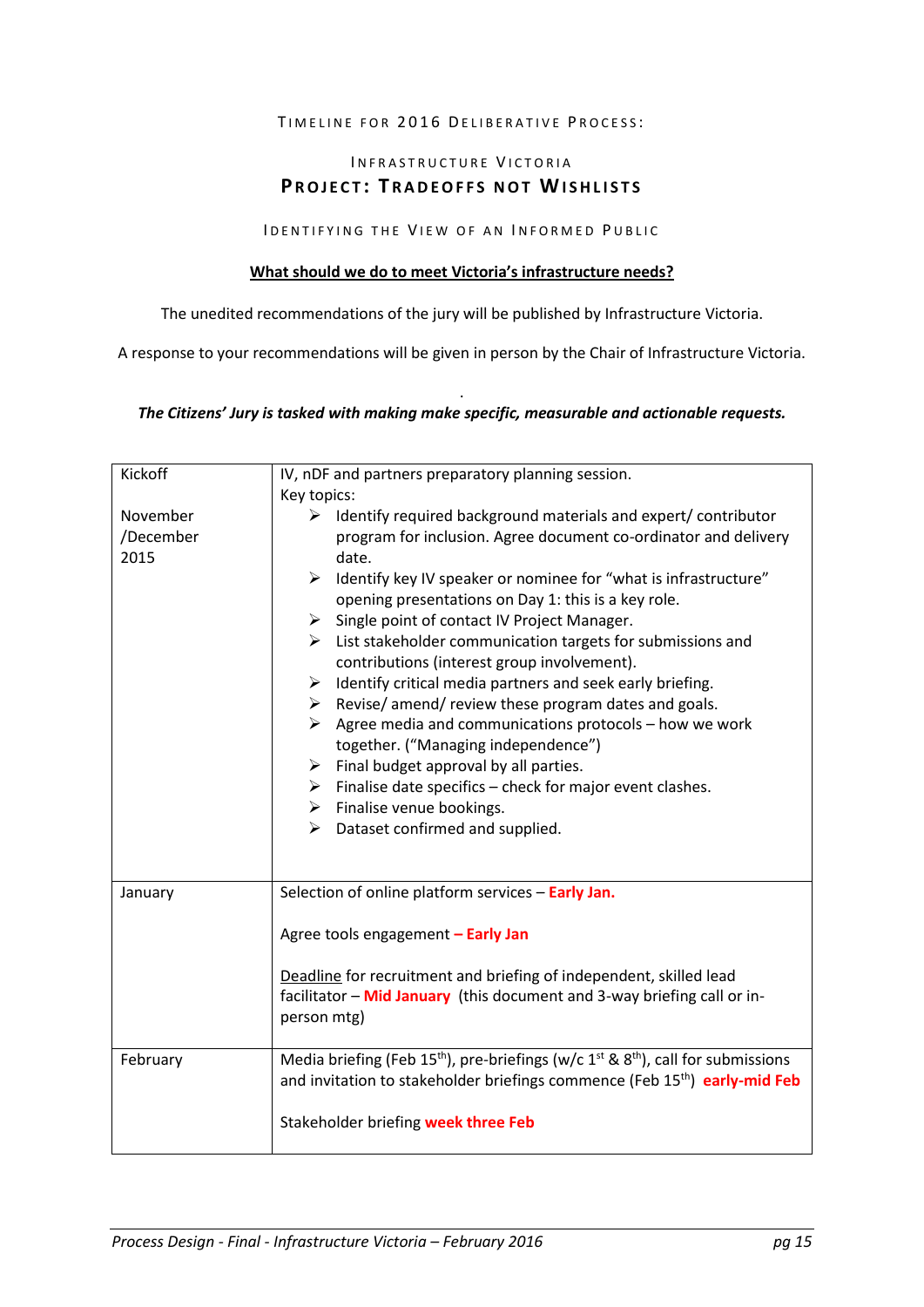#### TIMELINE FOR 2016 DELIBERATIVE PROCESS:

# INFRASTRUCTURE VICTORIA **PROJECT: TRADEOFFS NOT WISHLISTS**

#### I DENTIFYING THE VIEW OF AN INFORMED PUBLIC

#### **What should we do to meet Victoria's infrastructure needs?**

The unedited recommendations of the jury will be published by Infrastructure Victoria.

A response to your recommendations will be given in person by the Chair of Infrastructure Victoria.

#### . *The Citizens' Jury is tasked with making make specific, measurable and actionable requests.*

| Kickoff                       | IV, nDF and partners preparatory planning session.                                                                                                                                                                                                                                                                                                                                                                                                                                                                                                                                                                                                                                                                                                                                                                                                                                                                                                                            |
|-------------------------------|-------------------------------------------------------------------------------------------------------------------------------------------------------------------------------------------------------------------------------------------------------------------------------------------------------------------------------------------------------------------------------------------------------------------------------------------------------------------------------------------------------------------------------------------------------------------------------------------------------------------------------------------------------------------------------------------------------------------------------------------------------------------------------------------------------------------------------------------------------------------------------------------------------------------------------------------------------------------------------|
|                               | Key topics:                                                                                                                                                                                                                                                                                                                                                                                                                                                                                                                                                                                                                                                                                                                                                                                                                                                                                                                                                                   |
| November<br>/December<br>2015 | $\triangleright$ Identify required background materials and expert/ contributor<br>program for inclusion. Agree document co-ordinator and delivery<br>date.<br>Identify key IV speaker or nominee for "what is infrastructure"<br>$\blacktriangleright$<br>opening presentations on Day 1: this is a key role.<br>Single point of contact IV Project Manager.<br>➤<br>List stakeholder communication targets for submissions and<br>➤<br>contributions (interest group involvement).<br>Identify critical media partners and seek early briefing.<br>➤<br>$\triangleright$ Revise/ amend/ review these program dates and goals.<br>Agree media and communications protocols - how we work<br>➤<br>together. ("Managing independence")<br>$\triangleright$ Final budget approval by all parties.<br>$\triangleright$ Finalise date specifics – check for major event clashes.<br>$\triangleright$ Finalise venue bookings.<br>$\triangleright$ Dataset confirmed and supplied. |
| January                       | Selection of online platform services - Early Jan.<br>Agree tools engagement - Early Jan<br>Deadline for recruitment and briefing of independent, skilled lead<br>facilitator - Mid January (this document and 3-way briefing call or in-<br>person mtg)                                                                                                                                                                                                                                                                                                                                                                                                                                                                                                                                                                                                                                                                                                                      |
| February                      | Media briefing (Feb 15 <sup>th</sup> ), pre-briefings (w/c 1 <sup>st</sup> & 8 <sup>th</sup> ), call for submissions<br>and invitation to stakeholder briefings commence (Feb 15 <sup>th</sup> ) early-mid Feb<br>Stakeholder briefing week three Feb                                                                                                                                                                                                                                                                                                                                                                                                                                                                                                                                                                                                                                                                                                                         |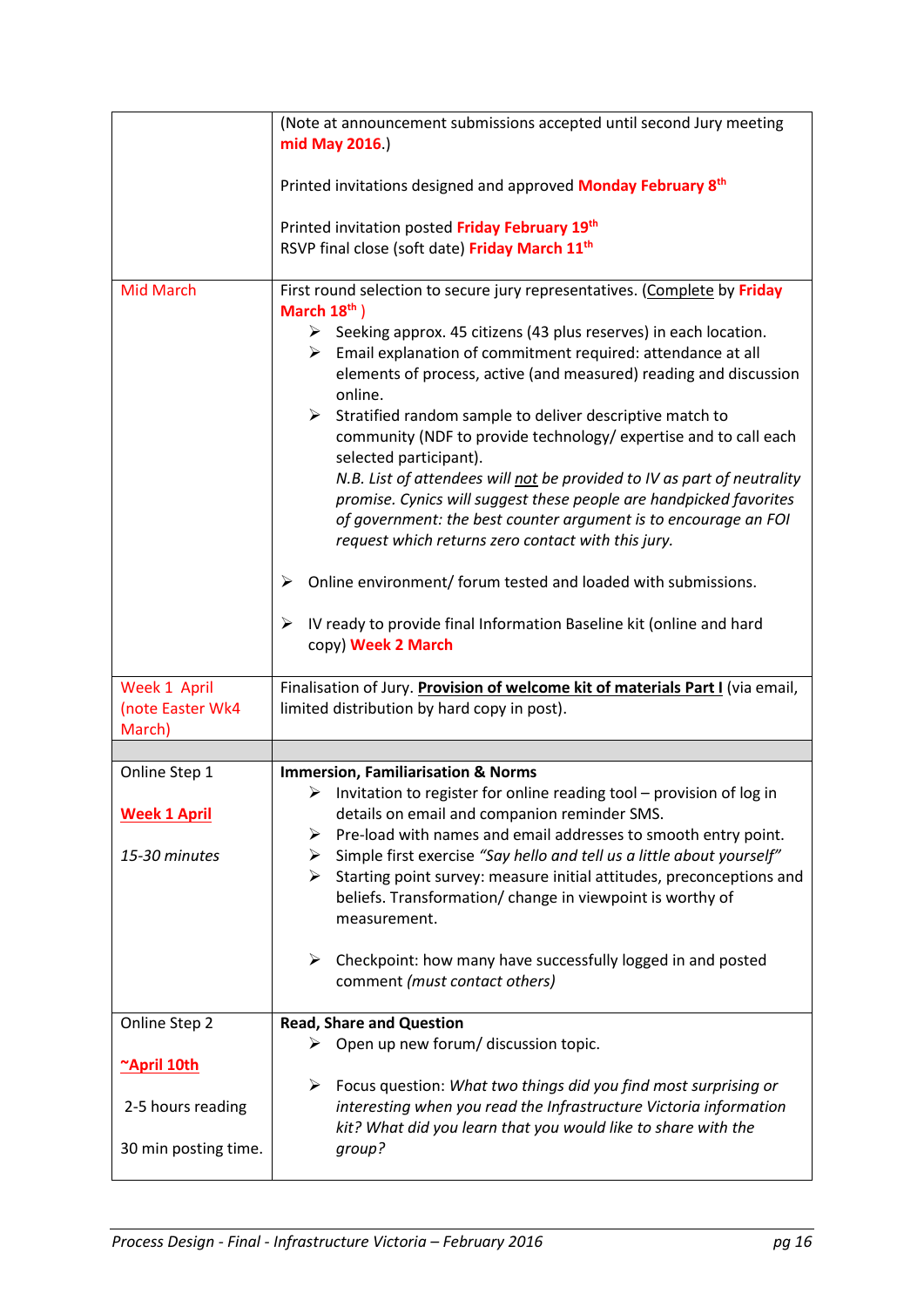|                                            | (Note at announcement submissions accepted until second Jury meeting<br>mid May 2016.)                                                                                                                                                                                                                                                                                                                                                                                                                                                                                                                                                                                                                                                                                                                                                                                                                                                                            |
|--------------------------------------------|-------------------------------------------------------------------------------------------------------------------------------------------------------------------------------------------------------------------------------------------------------------------------------------------------------------------------------------------------------------------------------------------------------------------------------------------------------------------------------------------------------------------------------------------------------------------------------------------------------------------------------------------------------------------------------------------------------------------------------------------------------------------------------------------------------------------------------------------------------------------------------------------------------------------------------------------------------------------|
|                                            | Printed invitations designed and approved <b>Monday February 8th</b>                                                                                                                                                                                                                                                                                                                                                                                                                                                                                                                                                                                                                                                                                                                                                                                                                                                                                              |
|                                            | Printed invitation posted Friday February 19th<br>RSVP final close (soft date) Friday March 11 <sup>th</sup>                                                                                                                                                                                                                                                                                                                                                                                                                                                                                                                                                                                                                                                                                                                                                                                                                                                      |
| <b>Mid March</b>                           | First round selection to secure jury representatives. (Complete by Friday<br>March $18th$ )<br>$\triangleright$ Seeking approx. 45 citizens (43 plus reserves) in each location.<br>$\triangleright$ Email explanation of commitment required: attendance at all<br>elements of process, active (and measured) reading and discussion<br>online.<br>➤<br>Stratified random sample to deliver descriptive match to<br>community (NDF to provide technology/ expertise and to call each<br>selected participant).<br>N.B. List of attendees will not be provided to IV as part of neutrality<br>promise. Cynics will suggest these people are handpicked favorites<br>of government: the best counter argument is to encourage an FOI<br>request which returns zero contact with this jury.<br>Online environment/ forum tested and loaded with submissions.<br>➤<br>IV ready to provide final Information Baseline kit (online and hard<br>➤<br>copy) Week 2 March |
| Week 1 April<br>(note Easter Wk4<br>March) | Finalisation of Jury. Provision of welcome kit of materials Part I (via email,<br>limited distribution by hard copy in post).                                                                                                                                                                                                                                                                                                                                                                                                                                                                                                                                                                                                                                                                                                                                                                                                                                     |
|                                            |                                                                                                                                                                                                                                                                                                                                                                                                                                                                                                                                                                                                                                                                                                                                                                                                                                                                                                                                                                   |
| Online Step 1                              | <b>Immersion, Familiarisation &amp; Norms</b>                                                                                                                                                                                                                                                                                                                                                                                                                                                                                                                                                                                                                                                                                                                                                                                                                                                                                                                     |
| <b>Week 1 April</b><br>15-30 minutes       | Invitation to register for online reading tool - provision of log in<br>➤<br>details on email and companion reminder SMS.<br>Pre-load with names and email addresses to smooth entry point.<br>➤<br>Simple first exercise "Say hello and tell us a little about yourself"<br>➤                                                                                                                                                                                                                                                                                                                                                                                                                                                                                                                                                                                                                                                                                    |
|                                            | Starting point survey: measure initial attitudes, preconceptions and<br>➤<br>beliefs. Transformation/ change in viewpoint is worthy of<br>measurement.                                                                                                                                                                                                                                                                                                                                                                                                                                                                                                                                                                                                                                                                                                                                                                                                            |
|                                            | $\blacktriangleright$<br>Checkpoint: how many have successfully logged in and posted<br>comment (must contact others)                                                                                                                                                                                                                                                                                                                                                                                                                                                                                                                                                                                                                                                                                                                                                                                                                                             |
| Online Step 2                              | <b>Read, Share and Question</b>                                                                                                                                                                                                                                                                                                                                                                                                                                                                                                                                                                                                                                                                                                                                                                                                                                                                                                                                   |
| ~April 10th                                | $\triangleright$ Open up new forum/ discussion topic.                                                                                                                                                                                                                                                                                                                                                                                                                                                                                                                                                                                                                                                                                                                                                                                                                                                                                                             |
| 2-5 hours reading                          | ➤<br>Focus question: What two things did you find most surprising or<br>interesting when you read the Infrastructure Victoria information<br>kit? What did you learn that you would like to share with the                                                                                                                                                                                                                                                                                                                                                                                                                                                                                                                                                                                                                                                                                                                                                        |
| 30 min posting time.                       | group?                                                                                                                                                                                                                                                                                                                                                                                                                                                                                                                                                                                                                                                                                                                                                                                                                                                                                                                                                            |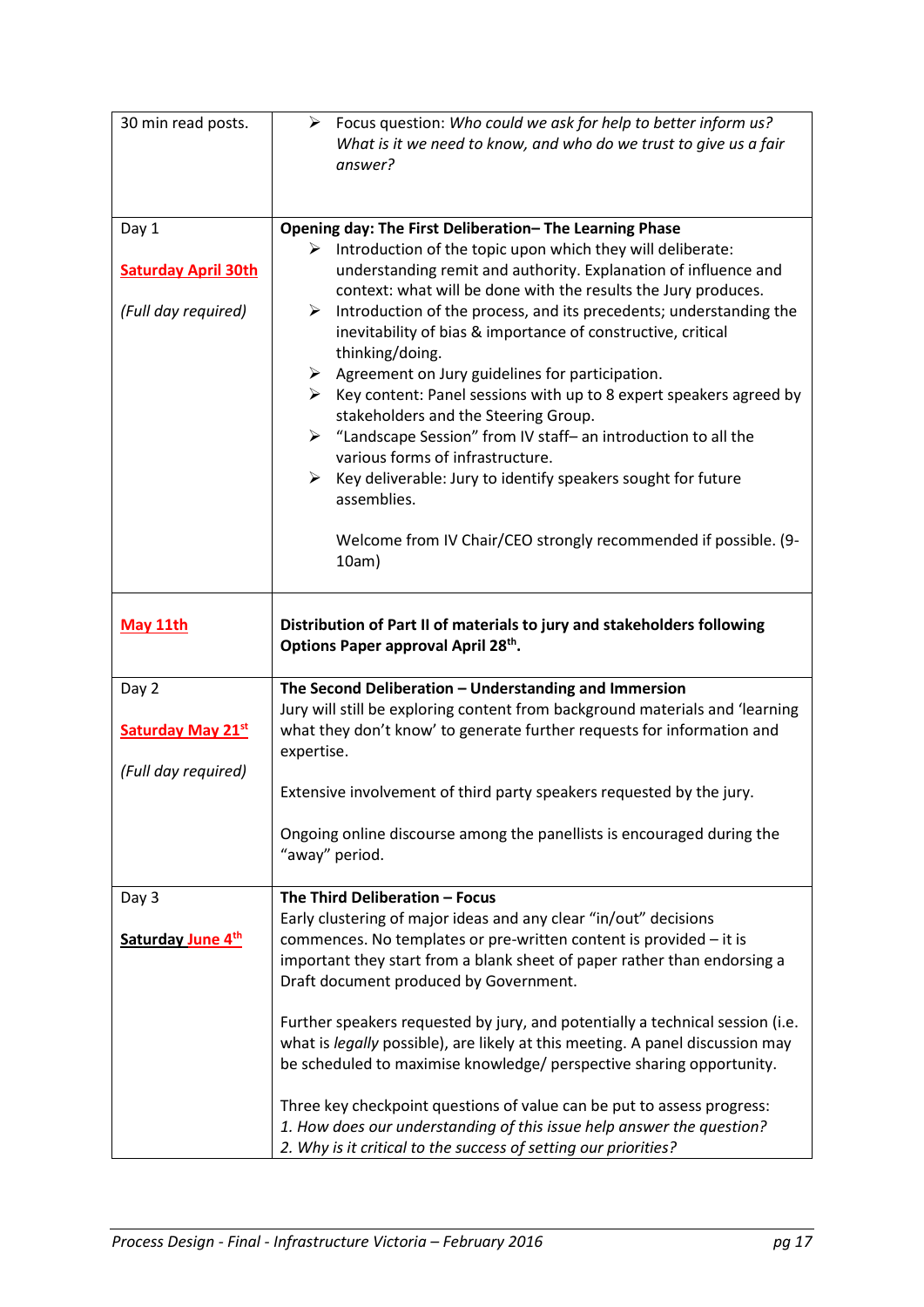| 30 min read posts.                                         | $\triangleright$ Focus question: Who could we ask for help to better inform us?<br>What is it we need to know, and who do we trust to give us a fair<br>answer?                                                                                                                                                                                                                                                                                                                                                                                                                                                                                                                                                                                                                                                                                                                                           |
|------------------------------------------------------------|-----------------------------------------------------------------------------------------------------------------------------------------------------------------------------------------------------------------------------------------------------------------------------------------------------------------------------------------------------------------------------------------------------------------------------------------------------------------------------------------------------------------------------------------------------------------------------------------------------------------------------------------------------------------------------------------------------------------------------------------------------------------------------------------------------------------------------------------------------------------------------------------------------------|
| Day 1<br><b>Saturday April 30th</b><br>(Full day required) | Opening day: The First Deliberation-The Learning Phase<br>$\triangleright$ Introduction of the topic upon which they will deliberate:<br>understanding remit and authority. Explanation of influence and<br>context: what will be done with the results the Jury produces.<br>Introduction of the process, and its precedents; understanding the<br>➤<br>inevitability of bias & importance of constructive, critical<br>thinking/doing.<br>$\triangleright$ Agreement on Jury guidelines for participation.<br>$\triangleright$ Key content: Panel sessions with up to 8 expert speakers agreed by<br>stakeholders and the Steering Group.<br>> "Landscape Session" from IV staff- an introduction to all the<br>various forms of infrastructure.<br>➤<br>Key deliverable: Jury to identify speakers sought for future<br>assemblies.<br>Welcome from IV Chair/CEO strongly recommended if possible. (9- |
|                                                            | 10am)                                                                                                                                                                                                                                                                                                                                                                                                                                                                                                                                                                                                                                                                                                                                                                                                                                                                                                     |
| May 11th                                                   | Distribution of Part II of materials to jury and stakeholders following<br>Options Paper approval April 28th.                                                                                                                                                                                                                                                                                                                                                                                                                                                                                                                                                                                                                                                                                                                                                                                             |
| Day 2<br><b>Saturday May 21st</b><br>(Full day required)   | The Second Deliberation - Understanding and Immersion<br>Jury will still be exploring content from background materials and 'learning<br>what they don't know' to generate further requests for information and<br>expertise.<br>Extensive involvement of third party speakers requested by the jury.                                                                                                                                                                                                                                                                                                                                                                                                                                                                                                                                                                                                     |
|                                                            | Ongoing online discourse among the panellists is encouraged during the<br>"away" period.                                                                                                                                                                                                                                                                                                                                                                                                                                                                                                                                                                                                                                                                                                                                                                                                                  |
| Day 3<br>Saturday June 4th                                 | The Third Deliberation - Focus<br>Early clustering of major ideas and any clear "in/out" decisions<br>commences. No templates or pre-written content is provided - it is<br>important they start from a blank sheet of paper rather than endorsing a<br>Draft document produced by Government.                                                                                                                                                                                                                                                                                                                                                                                                                                                                                                                                                                                                            |
|                                                            | Further speakers requested by jury, and potentially a technical session (i.e.<br>what is legally possible), are likely at this meeting. A panel discussion may<br>be scheduled to maximise knowledge/ perspective sharing opportunity.<br>Three key checkpoint questions of value can be put to assess progress:<br>1. How does our understanding of this issue help answer the question?<br>2. Why is it critical to the success of setting our priorities?                                                                                                                                                                                                                                                                                                                                                                                                                                              |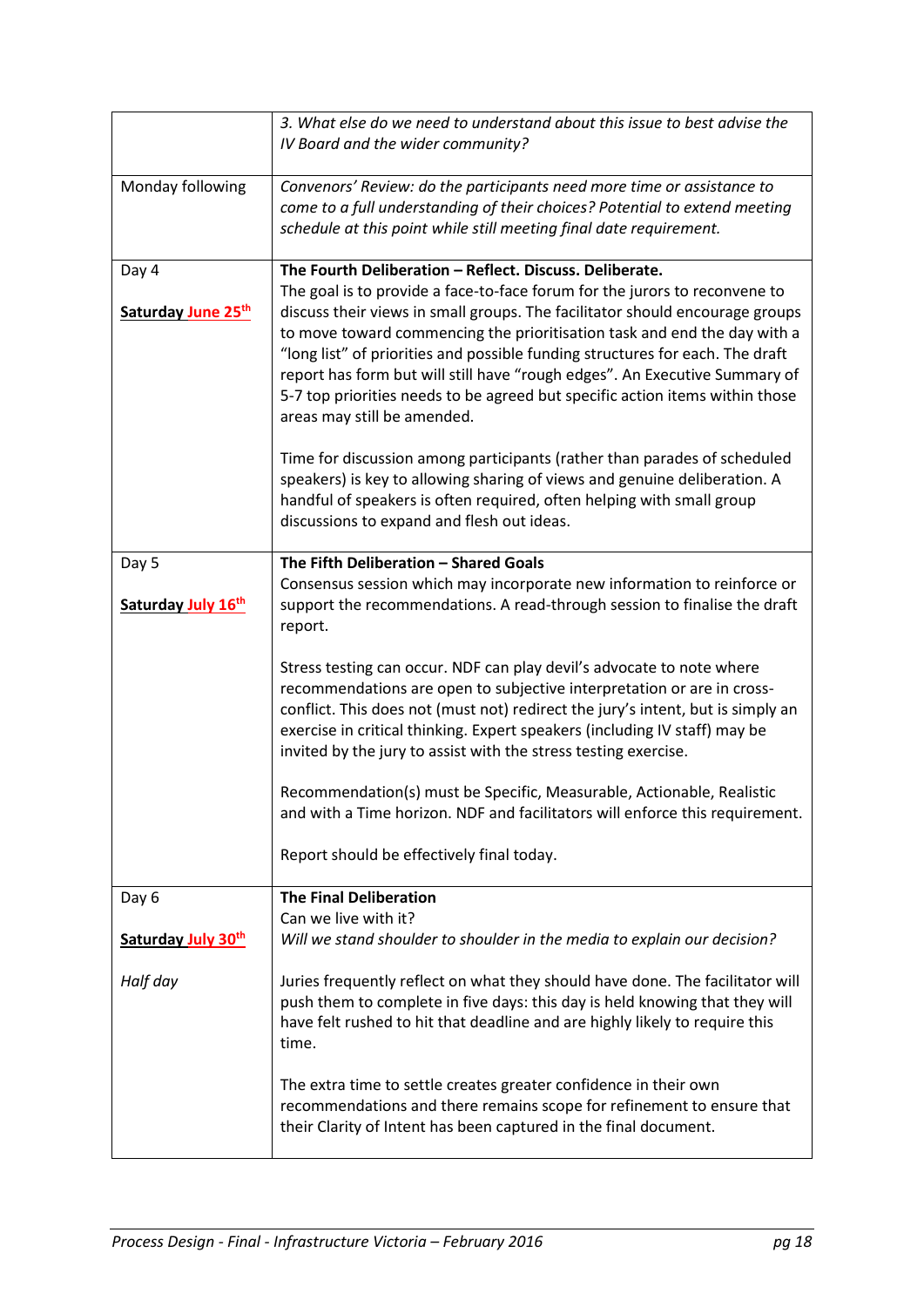|                    | 3. What else do we need to understand about this issue to best advise the<br>IV Board and the wider community?                                                                                                                                                                                                                                                                                                                                                                                                       |
|--------------------|----------------------------------------------------------------------------------------------------------------------------------------------------------------------------------------------------------------------------------------------------------------------------------------------------------------------------------------------------------------------------------------------------------------------------------------------------------------------------------------------------------------------|
| Monday following   | Convenors' Review: do the participants need more time or assistance to<br>come to a full understanding of their choices? Potential to extend meeting<br>schedule at this point while still meeting final date requirement.                                                                                                                                                                                                                                                                                           |
| Day 4              | The Fourth Deliberation - Reflect. Discuss. Deliberate.                                                                                                                                                                                                                                                                                                                                                                                                                                                              |
| Saturday June 25th | The goal is to provide a face-to-face forum for the jurors to reconvene to<br>discuss their views in small groups. The facilitator should encourage groups<br>to move toward commencing the prioritisation task and end the day with a<br>"long list" of priorities and possible funding structures for each. The draft<br>report has form but will still have "rough edges". An Executive Summary of<br>5-7 top priorities needs to be agreed but specific action items within those<br>areas may still be amended. |
|                    | Time for discussion among participants (rather than parades of scheduled<br>speakers) is key to allowing sharing of views and genuine deliberation. A<br>handful of speakers is often required, often helping with small group<br>discussions to expand and flesh out ideas.                                                                                                                                                                                                                                         |
| Day 5              | The Fifth Deliberation - Shared Goals                                                                                                                                                                                                                                                                                                                                                                                                                                                                                |
| Saturday July 16th | Consensus session which may incorporate new information to reinforce or<br>support the recommendations. A read-through session to finalise the draft<br>report.                                                                                                                                                                                                                                                                                                                                                      |
|                    | Stress testing can occur. NDF can play devil's advocate to note where<br>recommendations are open to subjective interpretation or are in cross-<br>conflict. This does not (must not) redirect the jury's intent, but is simply an<br>exercise in critical thinking. Expert speakers (including IV staff) may be<br>invited by the jury to assist with the stress testing exercise.                                                                                                                                  |
|                    | Recommendation(s) must be Specific, Measurable, Actionable, Realistic<br>and with a Time horizon. NDF and facilitators will enforce this requirement.                                                                                                                                                                                                                                                                                                                                                                |
|                    | Report should be effectively final today.                                                                                                                                                                                                                                                                                                                                                                                                                                                                            |
| Day 6              | <b>The Final Deliberation</b><br>Can we live with it?                                                                                                                                                                                                                                                                                                                                                                                                                                                                |
| Saturday July 30th | Will we stand shoulder to shoulder in the media to explain our decision?                                                                                                                                                                                                                                                                                                                                                                                                                                             |
| Half day           | Juries frequently reflect on what they should have done. The facilitator will<br>push them to complete in five days: this day is held knowing that they will<br>have felt rushed to hit that deadline and are highly likely to require this<br>time.                                                                                                                                                                                                                                                                 |
|                    | The extra time to settle creates greater confidence in their own<br>recommendations and there remains scope for refinement to ensure that<br>their Clarity of Intent has been captured in the final document.                                                                                                                                                                                                                                                                                                        |